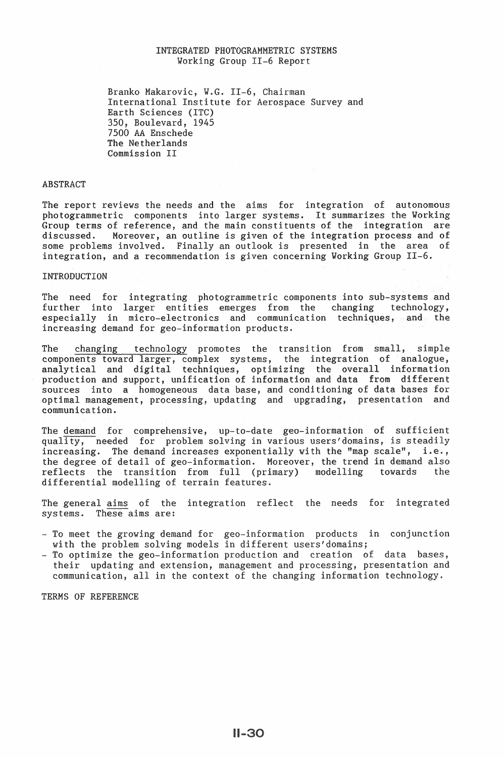# INTEGRATED PHOTOGRAMMETRIC SYSTEMS Working Group II-6 Report

Branko Makarovic, W.G. II-6, Chairman<br>International Institute for Aerospace International Institute for Aerospace Survey and Earth Sciences (ITC) 350, Boulevard, 1945 7500 AA Enschede The Netherlands Commission II

### ABSTRACT

The report reviews the needs and the aims for integration of autonomous photogrammetric components into larger systems. It summarizes the Working Group terms of reference, and the main constituents of the integration are discussed. Moreover, an outline is given of the integration process and of Moreover, an outline is given of the integration process and of some problems involved. Finally an outlook is presented in the area of integration, and a recommendation is given concerning Working Group  $II-6$ .

#### INTRODUCTION

The need for integrating photogrammetric components into sub-systems and further into larger entities emerges from the changing technology, especially in micro-electronics and communication techniques,

The changing technology promotes the transition from small, simple components toward larger, analytical and digi production and .<br>sources into communication.

The demand for comprehensive, up-to-date geo-information quality, needed for problem solving in various users'domains, increasing. The demand increases exponentially with the "map scale", i.e., the degree of detail of geo-information. Moreover, the trend in demand reflects the transition from full (primary) modelling towards the differential modelling of terrain features.

The general aims of the integration reflect the needs for integrated systems. These aims are:

- To meet the growing demand for geo-information products in conjunction with the problem solving models in different users'domains;
- To optimize the geo-information production and creation their updating and extension, management and processing, presentation and communication, all in the context of the changing information technology.

TERMS OF REFERENCE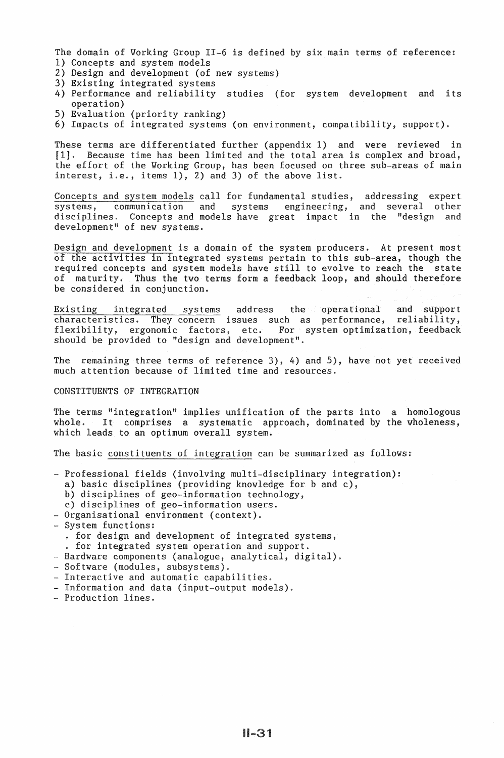The domain of Working Group II-6 is defined by six main terms of reference: 1) Concepts and system models

- 2) Design and development (of new systems)
- 3) Existing integrated systems
- 4) Performance and reliability studies (for system development and its operation)
- 5) Evaluation (priority ranking)
- 6) Impacts of integrated systems (on environment, compatibility, support).

These terms are differentiated further (appendix 1) and were reviewed in [1]. Because time has been limited and the total area is complex and broad. Because time has been limited and the total area is complex and broad, the effort of the Working Group, has been focused on three sub-areas of main interest, i.e., items  $1)$ ,  $2)$  and  $3)$  of the above list.

Concepts and system models call for fundamental studies, addressing expert systems, communication and systems engineering, and several other disciplines. Concepts and models have great impact in the "design and development" of new systems.

Design and development is a domain of the system producers. At present most of the activities in integrated systems pertain to this sub-area, though the and system models have still to evolve to reach the state Thus the two terms form a feedback loop, and should therefore be considered in conjunction.

Existing integrated systems address the operational and support characteristics. They concern issues such as performance, reliability, characteristics. They concern issues such as flexibility, ergonomic factors, etc. For system optimization, feedback should be provided to "design and development".

The remaining three terms of reference 3), 4) and 5), have not yet received much attention because of limited time and resources.

#### CONSTITUENTS OF INTEGRATION

The terms "integration" implies unification of the parts into a homologous whole. It comprises a systematic approach, dominated by the wholeness, which leads to an optimum overall system.

The basic constituents of integration can be summarized as follows:

- Professional fields (involving multi-disciplinary integration):
- a) basic disciplines (providing knowledge for b and c),
- b) disciplines of geo-information technology,
- c) disciplines of geo-information users.
- Organisational environment (context).<br>- System functions:
- - . for design and development of integrated systems,
	- . for integrated system operation and support.
- Hardware components (analogue, analytical, digital).
- Software (modules, subsystems).<br>- Interactive and automatic capab
- Interactive and automatic capabilities.
- Information and data (
-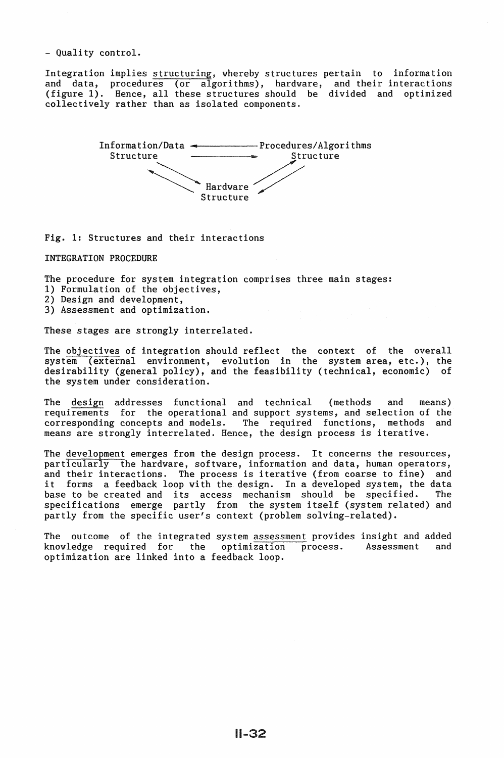- Quality control.

Integration implies structuring, whereby structures pertain to information and data, procedures (or algorithms), hardware, and their interactions (figure 1). Hence, all these structures should be divided and optimized collectively rather than as isolated components.



Fig. 1: Structures and their interactions

INTEGRATION PROCEDURE

The procedure for system integration comprises three main stages:

- 1) Formulation of the objectives,
- 2) Design and development,
- 3) Assessment and optimization.

These stages are strongly interrelated.

The objectives of integration should reflect the context of the overall system (external environment, evolution in the system area, etc.), the desirability (general policy), and the feasibility (technical, economic) of the system under consideration.

The design addresses functional and technical (methods and means) requirements for the operational and support systems, and selection of the corresponding concepts and models. The required functions, methods and means are strongly interrelated. Hence, the design process is iterative.

The development emerges from the design process. It concerns the resources, particularly the hardware, software, information and data, human operators, and their interactions. The process is iterative (from coarse to fine) and it forms a feedback loop with the design. In a developed system, the data base to be created and its access mechanism should be specified. The specifications emerge partly from the system itself (system related) and partly from the specific user's context (problem solving-related).

The outcome of the integrated system assessment provides insight and added knowledge required for the optimization process. Assessment and knowledge required for the optimization process. Assessment and optimization are linked into a feedback loop.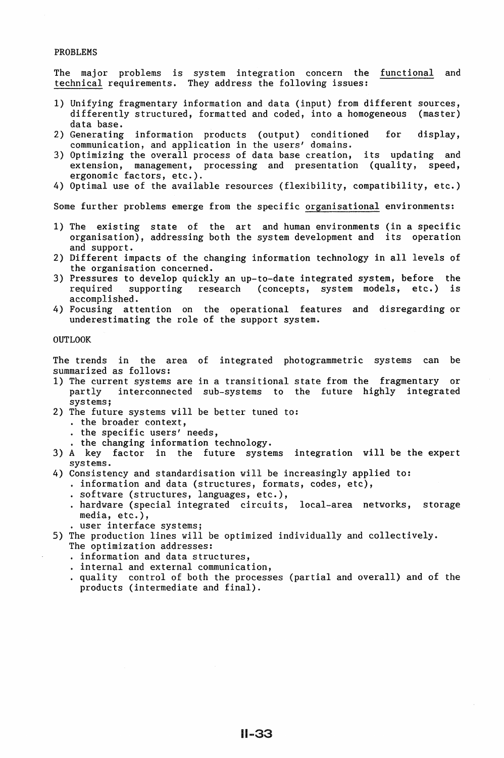### PROBLEMS

The major problems is system integration concern the <u>functional</u> and technical requirements. They address the following issues:

- 1) Unifying fragmentary information and data (input) from different sources, differently structured, formatted and coded, into a homogeneous (master) data base.
- 2) Generating information products (output) conditioned for display, communication, and application in the users' domains.
- 3) Optimizing the overall process of data base creation, its updating and extension, management, processing and presentation (quality, speed, extension, management, processing and presentation (quality, speed, ergonomic factors, etc.).
- 4) Optimal use of the available resources (flexibility, compatibility, etc.)

Some further problems emerge from the specific organisational environments:

- 1) The existing state of the art and human environments (in a specific organisation), addressing both the system development and its operation and support.
- 2) Different impacts of the changing information technology in all levels of the organisation concerned.
- 3) Pressures to develop quickly an up-to-date integrated system, before the required supporting research (concepts, system models, etc.) is research (concepts, system models, etc.) is accomplished.
- 4) Focusing attention on the operational features and disregarding or underestimating the role of the support system.

## OUTLOOK

The trends in the area of integrated photogrammetric systems can be summarized as follows:

- 1) The current systems are in a transitional state from the fragmentary or partly interconnected sub-systems to the future highly integrated systems;
- 2) The future systems will be better tuned to:<br>. the broader context,<br>. the specific users' needs,<br>. the changing information technology.
	-
	-
	-
- 3) A key factor in the future systems integration will be the expert systems.
- 4) Consistency and standardisation will be increasingly applied to:
	- . information and data (structures, formats, codes, etc),
	- . software (structures, languages, etc.),
	- hardware (special integrated circuits, local-area networks, storage
	- wer interface systems;
- 5) The production lines will be optimized individually and collectively.
	-
	-
	- The optimization addresses:<br>. information and data structures,<br>. internal and external communication,<br>. quality control of both the processes (partial and overall) and of the products (intermediate and final).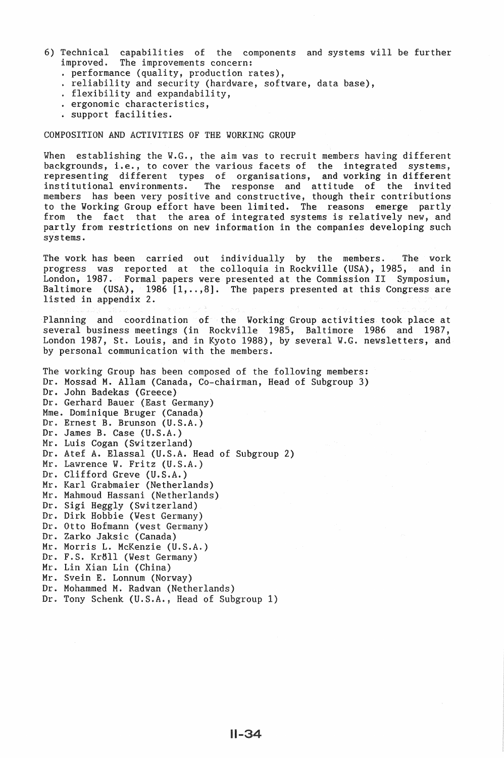- 6) Technical capabilities of the components and systems will be further improved. The improvements concern:
	-
	- improved. The improved. The improved. The improved. The improved. The improved. The improved. The improved. The improved. The improved. The improved of the improved. The improved of the improved. The improved of the improv
	-
	-
	-

# COMPOSITION AND ACTIVITIES OF THE WORKING GROUP

When establishing the W.G., the aim was to recruit members having different backgrounds, i.e., to cover the various facets of the integrated systems, ing different types of organisations, and working in different institutional environments. The response and attitude of the invited members has been very positive and constructive, though their contributions to the Working Group effort have been limited. The reasons emerge partly from the fact that the area of integrated systems is relatively new, and partly from restrictions on new information in the companies developing such systems.

The work has been carried out individually by the members. The work progress was reported at the colloquia in Rockville (USA), 1985, and in London, 1987. Formal papers were presented at the Commission II Symposium, Baltimore (USA), 1986  $[1, \ldots, 8]$ . The papers presented at this Congress are listed in appendix 2.

Planning and coordination of the Working Group activities took place at several business meetings (in Rockville 1985, Baltimore 1986 and 1987, London 1987, St. Louis, and in Kyoto 1988), by several W.G. newsletters, and by personal communication with the members.

The working Group has been composed of the following members: Dr. Mossad M. Allam (Canada, Co-chairman, Head of Subgroup 3) Dr. John Badekas (Greece) Dr. Gerhard Bauer (East Germany) Mme. Dominique Bruger (Canada) Dr. Ernest B. Brunson (U.S.A.) Dr. James B. Case (U.S.A.) Mr. Luis Cogan (Switzerland) Dr. Atef A. Elassal (U.S.A. Head of Subgroup 2) Mr. Lawrence W. Fritz (U.S.A.) Dr. Clifford Greve (U.S.A.) Mr. Karl Grabmaier (Netherlands) Mr. Mahmoud Hassani (Netherlands) Dr. Sigi Heggly (Switzerland) Dr. Dirk Hobbie (West Germany) Dr. Otto Hofmann (west Germany) Dr. Zarko Jaksic (Canada) Mr. Morris L. McKenzie (U.S.A.) Dr. F.S. Kr6ll (West Germany) Mr. Lin Xian Lin (China) Mr. Svein E. Lonnum (Norway) Dr. Mohammed M. Radwan (Netherlands) Dr. Tony Schenk (U.S.A., Head of Subgroup 1)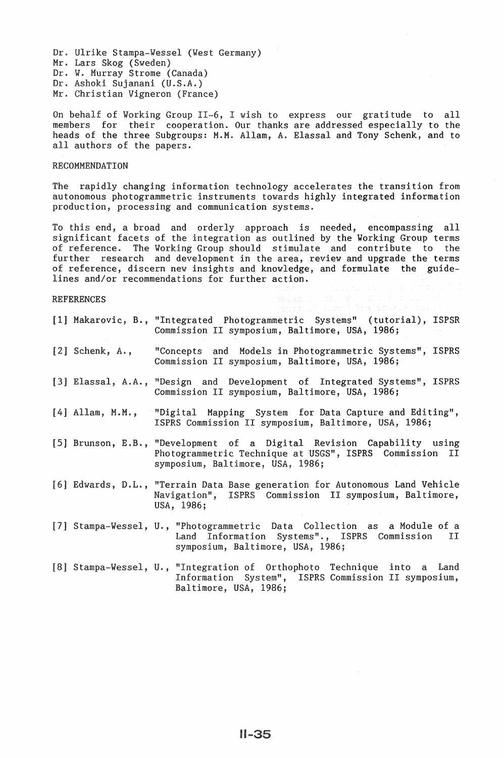Dr. Ulrike Stampa-Wessel (West Germany) Mr. Lars Skog (Sweden) Dr. W. Murray Strome (Canada) Dr. Ashoki Sujanani (U.S.A.)

Mr. Christian Vigneron (France)

On behalf of Working Group II-6, I wish to express our gratitude to all members for their cooperation. Our thanks are addressed especially to the heads of the three Subgroups: M.M. Allam, A. Elassal and Tony Schenk, and to all authors of the papers.

## **RECOMMENDATION**

The rapidly changing information technology accelerates the transition from autonomous photogrammetric instruments towards highly integrated information production, processing and communication systems.

, a broad and orderly approach is needed, encompassing all facets of the integration as outlined by the Working Group terms reference. The Working Group should stimulate and contribute to the further research and development in the area, review and upgrade the terms of reference, discern new insights and knowledge, and formulate the guidelines and/or recommendations for further action.

# **REFERENCES**

|                             | [1] Makarovic, B., "Integrated Photogrammetric Systems" (tutorial), ISPSR<br>Commission II symposium, Baltimore, USA, 1986;                                           |
|-----------------------------|-----------------------------------------------------------------------------------------------------------------------------------------------------------------------|
| $[2]$ Schenk, $A_{\cdot}$ , | "Concepts and Models in Photogrammetric Systems", ISPRS<br>Commission II symposium, Baltimore, USA, 1986;                                                             |
|                             | [3] Elassal, A.A., "Design and Development of Integrated Systems", ISPRS<br>Commission II symposium, Baltimore, USA, 1986;                                            |
|                             | [4] Allam, M.M., "Digital Mapping System for Data Capture and Editing",<br>ISPRS Commission II symposium, Baltimore, USA, 1986;                                       |
|                             | [5] Brunson, E.B., "Development of a Digital Revision Capability using<br>Photogrammetric Technique at USGS", ISPRS Commission II<br>symposium, Baltimore, USA, 1986; |
|                             | [6] Edwards, D.L., "Terrain Data Base generation for Autonomous Land Vehicle<br>Navigation", ISPRS Commission II symposium, Baltimore,<br>USA, 1986;                  |
|                             | [7] Stampa-Wessel, U., "Photogrammetric Data Collection as a Module of a<br>Land Information Systems"., ISPRS Commission II<br>symposium, Baltimore, USA, 1986;       |
|                             | [8] Stampa-Wessel, U., "Integration of Orthophoto Technique into a Land<br>Information System", ISPRS Commission II symposium,<br>Baltimore, USA, 1986;               |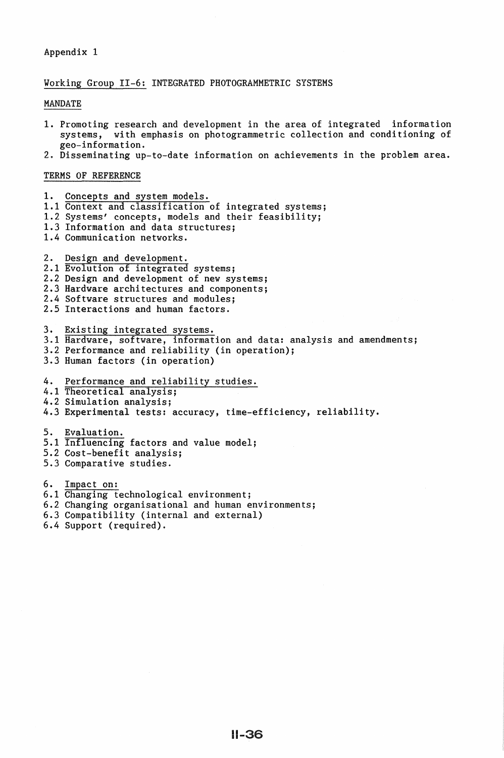## Appendix 1

#### Working Group II-6: INTEGRATED PHOTOGRAMMETRIC SYSTEMS

#### MANDATE

- 1. Promoting research and development in the area of integrated information systems, with emphasis on photogrammetric collection and conditioning of gee-information.
- 2. Disseminating up-to-date information on achievements in the problem area.

#### TERMS OF REFERENCE

1. Concepts and system models. 1.1 Context and classification of integrated systems; 1.2 Systems' concepts, models and their feasibility; 1.3 Information and data structures; 1.4 Communication networks. 2. Design and development. 2.1 Evolution of integrated systems; 2.2 Design and development of new systems; 2.3 Hardware architectures and components; 2.4 Software structures and modules; 2.5 Interactions and human factors. 3. Existing integrated systems. 3.1 Hardware, software, information and data: analysis and amendments; 3.2 Performance and reliability (in operation); 3.3 Human factors (in operation) 4. Performance and reliability studies. 4.1 Theoretical analysis; 4.2 Simulation analysis; 4.3 Experimental tests: accuracy, time-efficiency, reliability. 5. Evaluation. 5.1 Influencing factors and value model; 5.2 Cost-benefit analysis; 5.3 Comparative studies. 6. Impact on: 6.1 Changing technological environment; 6.2 Changing organisational and human environments; 6.3 Compatibility (internal and external) 6.4 Support (required).